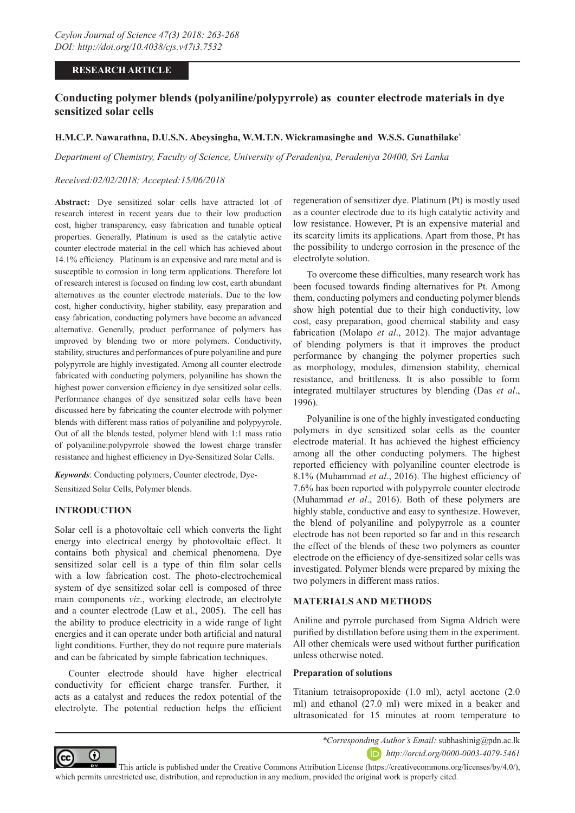## **RESEARCH ARTICLE**

# **Conducting polymer blends (polyaniline/polypyrrole) as counter electrode materials in dye sensitized solar cells**

## **H.M.C.P. Nawarathna, D.U.S.N. Abeysingha, W.M.T.N. Wickramasinghe and W.S.S. Gunathilake\***

*Department of Chemistry, Faculty of Science, University of Peradeniya, Peradeniya 20400, Sri Lanka*

### *Received:02/02/2018; Accepted:15/06/2018*

**Abstract:** Dye sensitized solar cells have attracted lot of research interest in recent years due to their low production cost, higher transparency, easy fabrication and tunable optical properties. Generally, Platinum is used as the catalytic active counter electrode material in the cell which has achieved about 14.1% efficiency. Platinum is an expensive and rare metal and is susceptible to corrosion in long term applications. Therefore lot of research interest is focused on finding low cost, earth abundant alternatives as the counter electrode materials. Due to the low cost, higher conductivity, higher stability, easy preparation and easy fabrication, conducting polymers have become an advanced alternative. Generally, product performance of polymers has improved by blending two or more polymers. Conductivity, stability, structures and performances of pure polyaniline and pure polypyrrole are highly investigated. Among all counter electrode fabricated with conducting polymers, polyaniline has shown the highest power conversion efficiency in dye sensitized solar cells. Performance changes of dye sensitized solar cells have been discussed here by fabricating the counter electrode with polymer blends with different mass ratios of polyaniline and polypyyrole. Out of all the blends tested, polymer blend with 1:1 mass ratio of polyaniline:polypyrrole showed the lowest charge transfer resistance and highest efficiency in Dye-Sensitized Solar Cells.

*Keywords*: Conducting polymers, Counter electrode, Dye-Sensitized Solar Cells, Polymer blends.

## **INTRODUCTION**

Solar cell is a photovoltaic cell which converts the light energy into electrical energy by photovoltaic effect. It contains both physical and chemical phenomena. Dye sensitized solar cell is a type of thin film solar cells with a low fabrication cost. The photo-electrochemical system of dye sensitized solar cell is composed of three main components *viz*., working electrode, an electrolyte and a counter electrode (Law et al., 2005). The cell has the ability to produce electricity in a wide range of light energies and it can operate under both artificial and natural light conditions. Further, they do not require pure materials and can be fabricated by simple fabrication techniques.

Counter electrode should have higher electrical conductivity for efficient charge transfer. Further, it acts as a catalyst and reduces the redox potential of the electrolyte. The potential reduction helps the efficient regeneration of sensitizer dye. Platinum (Pt) is mostly used as a counter electrode due to its high catalytic activity and low resistance. However, Pt is an expensive material and its scarcity limits its applications. Apart from those, Pt has the possibility to undergo corrosion in the presence of the electrolyte solution.

To overcome these difficulties, many research work has been focused towards finding alternatives for Pt. Among them, conducting polymers and conducting polymer blends show high potential due to their high conductivity, low cost, easy preparation, good chemical stability and easy fabrication (Molapo *et al*., 2012). The major advantage of blending polymers is that it improves the product performance by changing the polymer properties such as morphology, modules, dimension stability, chemical resistance, and brittleness. It is also possible to form integrated multilayer structures by blending (Das *et al*., 1996).

Polyaniline is one of the highly investigated conducting polymers in dye sensitized solar cells as the counter electrode material. It has achieved the highest efficiency among all the other conducting polymers. The highest reported efficiency with polyaniline counter electrode is 8.1% (Muhammad *et al*., 2016). The highest efficiency of 7.6% has been reported with polypyrrole counter electrode (Muhammad *et al*., 2016). Both of these polymers are highly stable, conductive and easy to synthesize. However, the blend of polyaniline and polypyrrole as a counter electrode has not been reported so far and in this research the effect of the blends of these two polymers as counter electrode on the efficiency of dye-sensitized solar cells was investigated. Polymer blends were prepared by mixing the two polymers in different mass ratios.

### **MATERIALS AND METHODS**

Aniline and pyrrole purchased from Sigma Aldrich were purified by distillation before using them in the experiment. All other chemicals were used without further purification unless otherwise noted.

### **Preparation of solutions**

Titanium tetraisopropoxide (1.0 ml), actyl acetone (2.0 ml) and ethanol (27.0 ml) were mixed in a beaker and ultrasonicated for 15 minutes at room temperature to



*\*Corresponding Author's Email:* subhashinig@pdn.ac.lk

*http://orcid.org/0000-0003-4079-5461*

This article is published under the [Creative Commons Attribution License \(https://creativecommons.org/licenses/by/4.0/\)](https://creativecommons.org/licenses/by/4.0/), which permits unrestricted use, distribution, and reproduction in any medium, provided the original work is properly cited.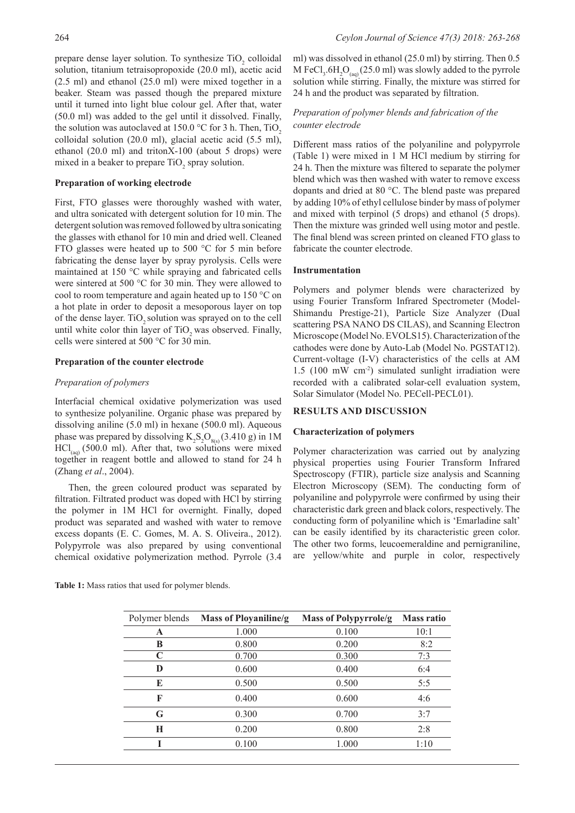prepare dense layer solution. To synthesize  $TiO<sub>2</sub>$  colloidal solution, titanium tetraisopropoxide (20.0 ml), acetic acid (2.5 ml) and ethanol (25.0 ml) were mixed together in a beaker. Steam was passed though the prepared mixture until it turned into light blue colour gel. After that, water (50.0 ml) was added to the gel until it dissolved. Finally, the solution was autoclaved at 150.0  $\degree$ C for 3 h. Then, TiO<sub>2</sub> colloidal solution (20.0 ml), glacial acetic acid (5.5 ml), ethanol (20.0 ml) and tritonX-100 (about 5 drops) were mixed in a beaker to prepare  $TiO<sub>2</sub>$  spray solution.

### **Preparation of working electrode**

First, FTO glasses were thoroughly washed with water, and ultra sonicated with detergent solution for 10 min. The detergent solution was removed followed by ultra sonicating the glasses with ethanol for 10 min and dried well. Cleaned FTO glasses were heated up to 500 °C for 5 min before fabricating the dense layer by spray pyrolysis. Cells were maintained at 150 °C while spraying and fabricated cells were sintered at 500 °C for 30 min. They were allowed to cool to room temperature and again heated up to 150 °C on a hot plate in order to deposit a mesoporous layer on top of the dense layer. TiO<sub>2</sub> solution was sprayed on to the cell until white color thin layer of TiO<sub>2</sub> was observed. Finally, cells were sintered at 500 °C for 30 min.

#### **Preparation of the counter electrode**

#### *Preparation of polymers*

Interfacial chemical oxidative polymerization was used to synthesize polyaniline. Organic phase was prepared by dissolving aniline (5.0 ml) in hexane (500.0 ml). Aqueous phase was prepared by dissolving  $K_2S_2O_{(8)}(3.410 \text{ g})$  in 1M  $\text{HCl}_{(aq)}$  (500.0 ml). After that, two solutions were mixed together in reagent bottle and allowed to stand for 24 h (Zhang *et al*., 2004).

Then, the green coloured product was separated by filtration. Filtrated product was doped with HCl by stirring the polymer in 1M HCl for overnight. Finally, doped product was separated and washed with water to remove excess dopants (E. C. Gomes, M. A. S. Oliveira., 2012). Polypyrrole was also prepared by using conventional chemical oxidative polymerization method. Pyrrole (3.4

**Table 1:** Mass ratios that used for polymer blends.

ml) was dissolved in ethanol (25.0 ml) by stirring. Then 0.5 M FeCl<sub>3</sub>.6H<sub>2</sub>O<sub>(aq)</sub> (25.0 ml) was slowly added to the pyrrole solution while stirring. Finally, the mixture was stirred for 24 h and the product was separated by filtration.

## *Preparation of polymer blends and fabrication of the counter electrode*

Different mass ratios of the polyaniline and polypyrrole (Table 1) were mixed in 1 M HCl medium by stirring for 24 h. Then the mixture was filtered to separate the polymer blend which was then washed with water to remove excess dopants and dried at 80 °C. The blend paste was prepared by adding 10% of ethyl cellulose binder by mass of polymer and mixed with terpinol (5 drops) and ethanol (5 drops). Then the mixture was grinded well using motor and pestle. The final blend was screen printed on cleaned FTO glass to fabricate the counter electrode.

### **Instrumentation**

Polymers and polymer blends were characterized by using Fourier Transform Infrared Spectrometer (Model-Shimandu Prestige-21), Particle Size Analyzer (Dual scattering PSA NANO DS CILAS), and Scanning Electron Microscope (Model No. EVOLS15). Characterization of the cathodes were done by Auto-Lab (Model No. PGSTAT12). Current-voltage (I-V) characteristics of the cells at AM 1.5 (100 mW cm-2) simulated sunlight irradiation were recorded with a calibrated solar-cell evaluation system, Solar Simulator (Model No. PECell-PECL01).

#### **RESULTS AND DISCUSSION**

#### **Characterization of polymers**

Polymer characterization was carried out by analyzing physical properties using Fourier Transform Infrared Spectroscopy (FTIR), particle size analysis and Scanning Electron Microscopy (SEM). The conducting form of polyaniline and polypyrrole were confirmed by using their characteristic dark green and black colors, respectively. The conducting form of polyaniline which is 'Emarladine salt' can be easily identified by its characteristic green color. The other two forms, leucoemeraldine and pernigraniline, are yellow/white and purple in color, respectively

| Polymer blends | Mass of Ployaniline/g | <b>Mass of Polypyrrole/g</b> | <b>Mass ratio</b> |
|----------------|-----------------------|------------------------------|-------------------|
| A              | 1.000                 | 0.100                        | 10:1              |
| B              | 0.800                 | 0.200                        | 8:2               |
| C              | 0.700                 | 0.300                        | 7:3               |
| D              | 0.600                 | 0.400                        | 6:4               |
| E              | 0.500                 | 0.500                        | 5:5               |
| F              | 0.400                 | 0.600                        | 4:6               |
| G              | 0.300                 | 0.700                        | 3:7               |
| Н              | 0.200                 | 0.800                        | 2:8               |
|                | 0.100                 | 1.000                        | 1:10              |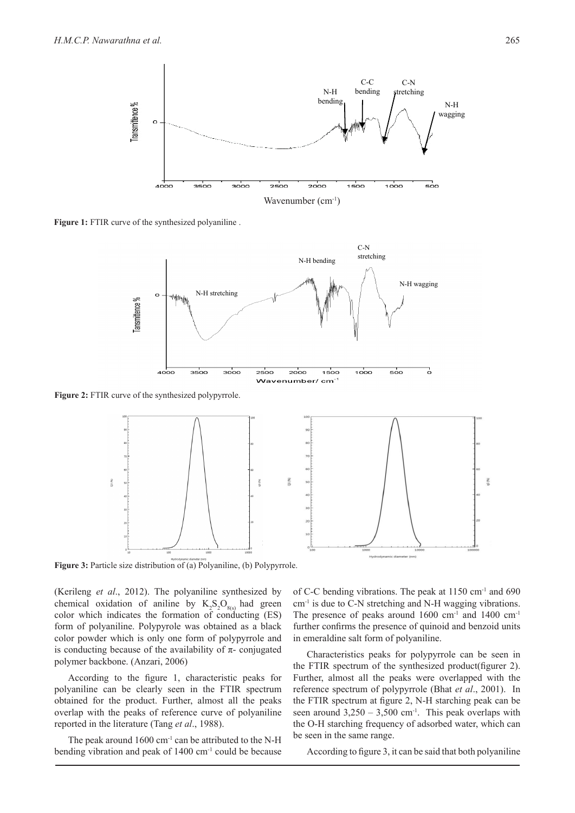

Figure 1: FTIR curve of the synthesized polyaniline.



Figure 2: FTIR curve of the synthesized polypyrrole.



Figure 3: Particle size distribution of (a) Polyaniline, (b) Polypyrrole.

(Kerileng *et al*., 2012). The polyaniline synthesized by chemical oxidation of aniline by  $K_2S_2O_{g(s)}$  had green color which indicates the formation of conducting (ES) form of polyaniline. Polypyrole was obtained as a black color powder which is only one form of polypyrrole and is conducting because of the availability of  $\pi$ - conjugated polymer backbone. (Anzari, 2006)

According to the figure 1, characteristic peaks for polyaniline can be clearly seen in the FTIR spectrum obtained for the product. Further, almost all the peaks overlap with the peaks of reference curve of polyaniline reported in the literature (Tang *et al*., 1988).

The peak around  $1600 \text{ cm}^{-1}$  can be attributed to the N-H bending vibration and peak of  $1400 \text{ cm}^{-1}$  could be because of C-C bending vibrations. The peak at 1150 cm-1 and 690  $cm<sup>-1</sup>$  is due to C-N stretching and N-H wagging vibrations. The presence of peaks around  $1600 \text{ cm}^{-1}$  and  $1400 \text{ cm}^{-1}$ further confirms the presence of quinoid and benzoid units in emeraldine salt form of polyaniline.

Characteristics peaks for polypyrrole can be seen in the FTIR spectrum of the synthesized product(figurer 2). Further, almost all the peaks were overlapped with the reference spectrum of polypyrrole (Bhat *et al*., 2001).In the FTIR spectrum at figure 2, N-H starching peak can be seen around  $3,250 - 3,500$  cm<sup>-1</sup>. This peak overlaps with the O-H starching frequency of adsorbed water, which can be seen in the same range.

According to figure 3, it can be said that both polyaniline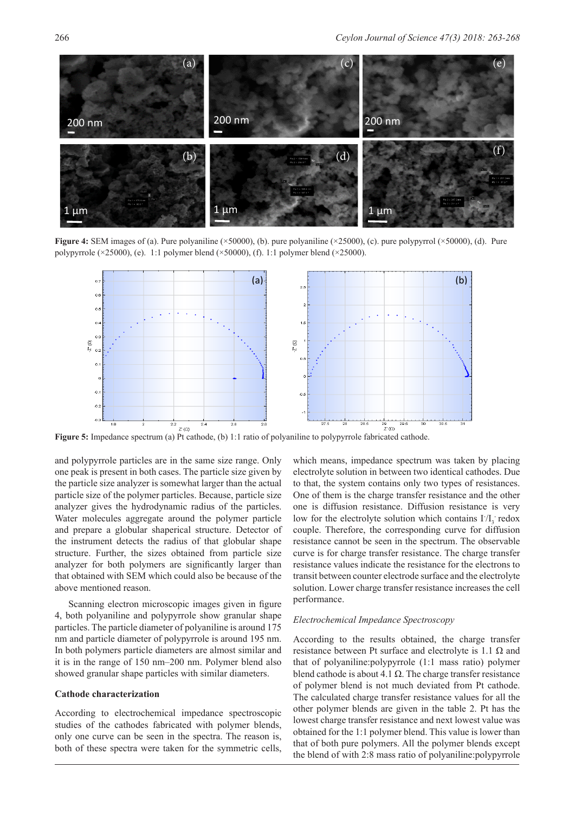

**Figure 4:** SEM images of (a). Pure polyaniline (×50000), (b). pure polyaniline (×25000), (c). pure polypyrrol (×50000), (d). Pure polypyrrole ( $\times$ 25000), (e). 1:1 polymer blend ( $\times$ 50000), (f). 1:1 polymer blend ( $\times$ 25000).



**Figure 5:** Impedance spectrum (a) Pt cathode, (b) 1:1 ratio of polyaniline to polypyrrole fabricated cathode.

and polypyrrole particles are in the same size range. Only one peak is present in both cases. The particle size given by the particle size analyzer is somewhat larger than the actual particle size of the polymer particles. Because, particle size analyzer gives the hydrodynamic radius of the particles. Water molecules aggregate around the polymer particle and prepare a globular shaperical structure. Detector of the instrument detects the radius of that globular shape structure. Further, the sizes obtained from particle size analyzer for both polymers are significantly larger than that obtained with SEM which could also be because of the above mentioned reason.

Scanning electron microscopic images given in figure 4, both polyaniline and polypyrrole show granular shape particles. The particle diameter of polyaniline is around 175 nm and particle diameter of polypyrrole is around 195 nm. In both polymers particle diameters are almost similar and it is in the range of 150 nm–200 nm. Polymer blend also showed granular shape particles with similar diameters.

### **Cathode characterization**

According to electrochemical impedance spectroscopic studies of the cathodes fabricated with polymer blends, only one curve can be seen in the spectra. The reason is, both of these spectra were taken for the symmetric cells,

which means, impedance spectrum was taken by placing electrolyte solution in between two identical cathodes. Due to that, the system contains only two types of resistances. One of them is the charge transfer resistance and the other one is diffusion resistance. Diffusion resistance is very low for the electrolyte solution which contains  $I/I_3$  redox couple. Therefore, the corresponding curve for diffusion resistance cannot be seen in the spectrum. The observable curve is for charge transfer resistance. The charge transfer resistance values indicate the resistance for the electrons to transit between counter electrode surface and the electrolyte solution. Lower charge transfer resistance increases the cell performance.

### *Electrochemical Impedance Spectroscopy*

According to the results obtained, the charge transfer resistance between Pt surface and electrolyte is  $1.1 \Omega$  and that of polyaniline:polypyrrole (1:1 mass ratio) polymer blend cathode is about 4.1  $\Omega$ . The charge transfer resistance of polymer blend is not much deviated from Pt cathode. The calculated charge transfer resistance values for all the other polymer blends are given in the table 2. Pt has the lowest charge transfer resistance and next lowest value was obtained for the 1:1 polymer blend. This value is lower than that of both pure polymers. All the polymer blends except the blend of with 2:8 mass ratio of polyaniline:polypyrrole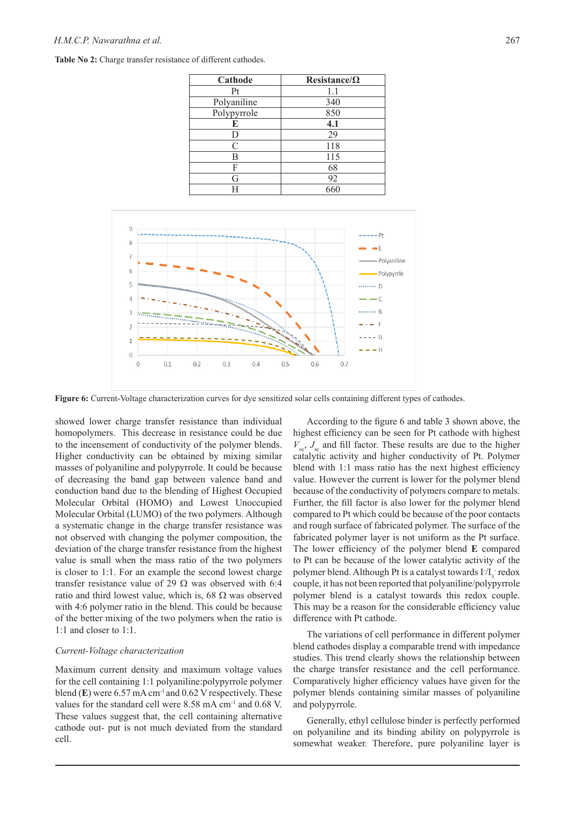### *H.M.C.P. Nawarathna et al.* 267

| Cathode     | Resistance/ $\Omega$ |  |  |
|-------------|----------------------|--|--|
| Pt          | 1.1                  |  |  |
| Polyaniline | 340                  |  |  |
| Polypyrrole | 850                  |  |  |
| E           | 4.1                  |  |  |
|             | 29                   |  |  |
| C           | 118                  |  |  |
| B           | 115                  |  |  |
| F           | 68                   |  |  |
| G           | 92                   |  |  |
|             | 660                  |  |  |

Table No 2: Charge transfer resistance of different cathodes.



**Figure 6:** Current-Voltage characterization curves for dye sensitized solar cells containing different types of cathodes.

showed lower charge transfer resistance than individual homopolymers. This decrease in resistance could be due to the incensement of conductivity of the polymer blends. Higher conductivity can be obtained by mixing similar masses of polyaniline and polypyrrole. It could be because of decreasing the band gap between valence band and conduction band due to the blending of Highest Occupied Molecular Orbital (HOMO) and Lowest Unoccupied Molecular Orbital (LUMO) of the two polymers. Although a systematic change in the charge transfer resistance was not observed with changing the polymer composition, the deviation of the charge transfer resistance from the highest value is small when the mass ratio of the two polymers is closer to 1:1. For an example the second lowest charge transfer resistance value of 29  $\Omega$  was observed with 6:4 ratio and third lowest value, which is, 68  $\Omega$  was observed with 4:6 polymer ratio in the blend. This could be because of the better mixing of the two polymers when the ratio is 1:1 and closer to 1:1.

### *Current-Voltage characterization*

Maximum current density and maximum voltage values for the cell containing 1:1 polyaniline:polypyrrole polymer blend  $(E)$  were 6.57 mA cm<sup>-1</sup> and 0.62 V respectively. These values for the standard cell were 8.58 mA cm-1 and 0.68 V. These values suggest that, the cell containing alternative cathode out- put is not much deviated from the standard cell.

According to the figure 6 and table 3 shown above, the highest efficiency can be seen for Pt cathode with highest  $V_{\text{oc}}$ ,  $J_{\text{sc}}$  and fill factor. These results are due to the higher catalytic activity and higher conductivity of Pt. Polymer blend with 1:1 mass ratio has the next highest efficiency value. However the current is lower for the polymer blend because of the conductivity of polymers compare to metals. Further, the fill factor is also lower for the polymer blend compared to Pt which could be because of the poor contacts and rough surface of fabricated polymer. The surface of the fabricated polymer layer is not uniform as the Pt surface. The lower efficiency of the polymer blend **E** compared to Pt can be because of the lower catalytic activity of the polymer blend. Although Pt is a catalyst towards  $I/I_3$  redox couple, it has not been reported that polyaniline/polypyrrole polymer blend is a catalyst towards this redox couple. This may be a reason for the considerable efficiency value difference with Pt cathode.

The variations of cell performance in different polymer blend cathodes display a comparable trend with impedance studies. This trend clearly shows the relationship between the charge transfer resistance and the cell performance. Comparatively higher efficiency values have given for the polymer blends containing similar masses of polyaniline and polypyrrole.

Generally, ethyl cellulose binder is perfectly performed on polyaniline and its binding ability on polypyrrole is somewhat weaker. Therefore, pure polyaniline layer is